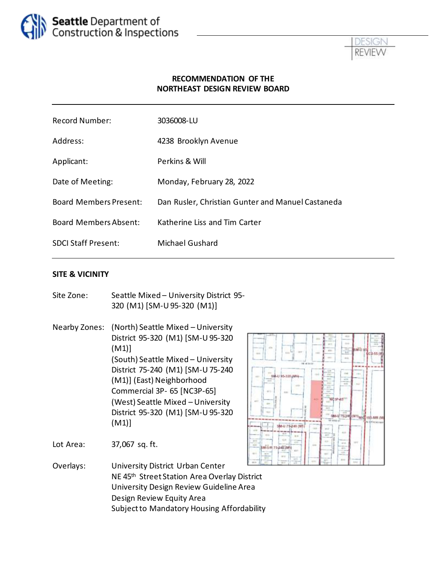



#### **RECOMMENDATION OF THE NORTHEAST DESIGN REVIEW BOARD**

| <b>Record Number:</b>         | 3036008-LU                                        |
|-------------------------------|---------------------------------------------------|
| Address:                      | 4238 Brooklyn Avenue                              |
| Applicant:                    | Perkins & Will                                    |
| Date of Meeting:              | Monday, February 28, 2022                         |
| <b>Board Members Present:</b> | Dan Rusler, Christian Gunter and Manuel Castaneda |
| <b>Board Members Absent:</b>  | Katherine Liss and Tim Carter                     |
| <b>SDCI Staff Present:</b>    | Michael Gushard                                   |

#### **SITE & VICINITY**

| Site Zone:    | Seattle Mixed - University District 95-<br>320 (M1) [SM-U 95-320 (M1)]                                                                                                                                                                                                                                   |
|---------------|----------------------------------------------------------------------------------------------------------------------------------------------------------------------------------------------------------------------------------------------------------------------------------------------------------|
| Nearby Zones: | (North) Seattle Mixed - University<br>District 95-320 (M1) [SM-U 95-320<br>(M1)<br>(South) Seattle Mixed - University<br>District 75-240 (M1) [SM-U 75-240<br>(M1)] (East) Neighborhood<br>Commercial 3P- 65 [NC3P-65]<br>(West) Seattle Mixed - University<br>District 95-320 (M1) [SM-U 95-320<br>(M1) |

11 MHZ 103-MR OV M-U 75-241 (M) 2ari

Lot Area: 37,067 sq. ft.

Overlays: University District Urban Center NE 45th Street Station Area Overlay District University Design Review Guideline Area Design Review Equity Area Subject to Mandatory Housing Affordability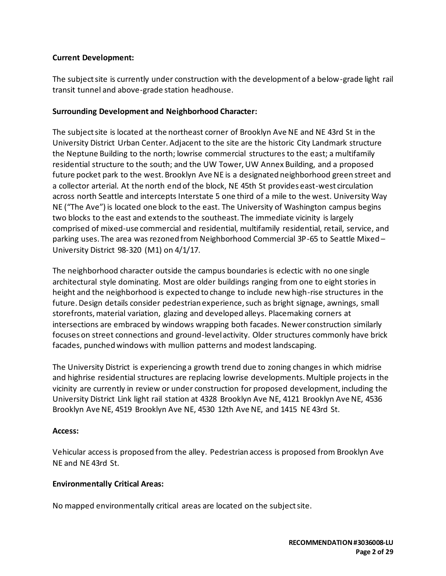#### **Current Development:**

The subject site is currently under construction with the development of a below-grade light rail transit tunnel and above-grade station headhouse.

#### **Surrounding Development and Neighborhood Character:**

The subject site is located at the northeast corner of Brooklyn Ave NE and NE 43rd St in the University District Urban Center. Adjacent to the site are the historic City Landmark structure the Neptune Building to the north; lowrise commercial structures to the east; a multifamily residential structure to the south; and the UW Tower, UW Annex Building, and a proposed future pocket park to the west. Brooklyn Ave NE is a designated neighborhood green street and a collector arterial. At the north end of the block, NE 45th St provides east-west circulation across north Seattle and intercepts Interstate 5 one third of a mile to the west. University Way NE ("The Ave") is located one block to the east. The University of Washington campus begins two blocks to the east and extends to the southeast. The immediate vicinity is largely comprised of mixed-use commercial and residential, multifamily residential, retail, service, and parking uses. The area was rezoned from Neighborhood Commercial 3P-65 to Seattle Mixed – University District 98-320 (M1) on 4/1/17.

The neighborhood character outside the campus boundaries is eclectic with no one single architectural style dominating. Most are older buildings ranging from one to eight stories in height and the neighborhood is expected to change to include new high-rise structures in the future. Design details consider pedestrian experience, such as bright signage, awnings, small storefronts, material variation, glazing and developed alleys. Placemaking corners at intersections are embraced by windows wrapping both facades. Newer construction similarly focuses on street connections and ground-level activity. Older structures commonly have brick facades, punched windows with mullion patterns and modest landscaping.

The University District is experiencing a growth trend due to zoning changes in which midrise and highrise residential structures are replacing lowrise developments. Multiple projects in the vicinity are currently in review or under construction for proposed development, including the University District Link light rail station at 4328 Brooklyn Ave NE, 4121 Brooklyn Ave NE, 4536 Brooklyn Ave NE, 4519 Brooklyn Ave NE, 4530 12th Ave NE, and 1415 NE 43rd St.

#### **Access:**

Vehicular access is proposed from the alley. Pedestrian access is proposed from Brooklyn Ave NE and NE 43rd St.

#### **Environmentally Critical Areas:**

No mapped environmentally critical areas are located on the subject site.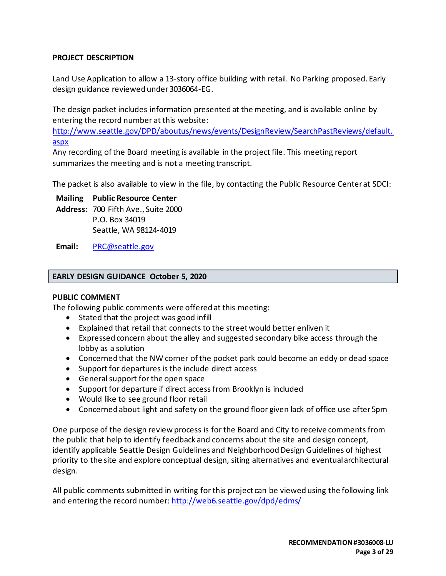### **PROJECT DESCRIPTION**

Land Use Application to allow a 13-story office building with retail. No Parking proposed. Early design guidance reviewed under 3036064-EG.

The design packet includes information presented at the meeting, and is available online by entering the record number at this website:

[http://www.seattle.gov/DPD/aboutus/news/events/DesignReview/SearchPastReviews/default.](http://www.seattle.gov/DPD/aboutus/news/events/DesignReview/SearchPastReviews/default.aspx) [aspx](http://www.seattle.gov/DPD/aboutus/news/events/DesignReview/SearchPastReviews/default.aspx)

Any recording of the Board meeting is available in the project file. This meeting report summarizes the meeting and is not a meeting transcript.

The packet is also available to view in the file, by contacting the Public Resource Center at SDCI:

**Mailing Public Resource Center**

**Address:** 700 Fifth Ave., Suite 2000 P.O. Box 34019 Seattle, WA 98124-4019

**Email:** [PRC@seattle.gov](mailto:PRC@seattle.gov)

#### **EARLY DESIGN GUIDANCE October 5, 2020**

#### **PUBLIC COMMENT**

The following public comments were offered at this meeting:

- Stated that the project was good infill
- Explained that retail that connects to the street would better enliven it
- Expressed concern about the alley and suggested secondary bike access through the lobby as a solution
- Concerned that the NW corner of the pocket park could become an eddy or dead space
- Support for departures is the include direct access
- General support for the open space
- Support for departure if direct access from Brooklyn is included
- Would like to see ground floor retail
- Concerned about light and safety on the ground floor given lack of office use after 5pm

One purpose of the design review process is for the Board and City to receive comments from the public that help to identify feedback and concerns about the site and design concept, identify applicable Seattle Design Guidelines and Neighborhood Design Guidelines of highest priority to the site and explore conceptual design, siting alternatives and eventual architectural design.

All public comments submitted in writing for this project can be viewed using the following link and entering the record number[: http://web6.seattle.gov/dpd/edms/](http://web6.seattle.gov/dpd/edms/)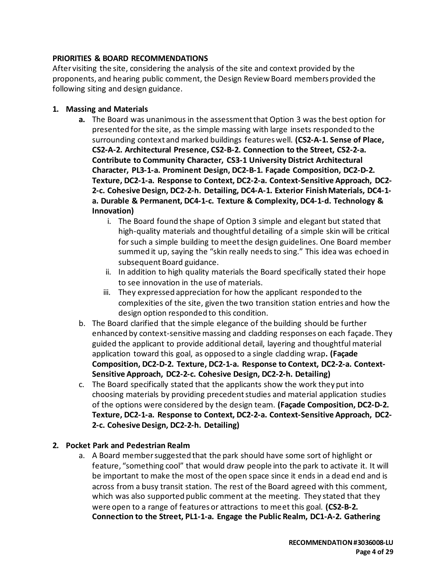### **PRIORITIES & BOARD RECOMMENDATIONS**

After visiting the site, considering the analysis of the site and context provided by the proponents, and hearing public comment, the Design Review Board members provided the following siting and design guidance.

#### **1. Massing and Materials**

- **a.** The Board was unanimous in the assessment that Option 3 was the best option for presented for the site, as the simple massing with large insets responded to the surrounding context and marked buildings features well. **(CS2-A-1. Sense of Place, CS2-A-2. Architectural Presence, CS2-B-2. Connection to the Street, CS2-2-a. Contribute to Community Character, CS3-1 University District Architectural Character, PL3-1-a. Prominent Design, DC2-B-1. Façade Composition, DC2-D-2. Texture, DC2-1-a. Response to Context, DC2-2-a. Context-Sensitive Approach, DC2- 2-c. Cohesive Design, DC2-2-h. Detailing, DC4-A-1. Exterior Finish Materials, DC4-1 a. Durable & Permanent, DC4-1-c. Texture & Complexity, DC4-1-d. Technology & Innovation)**
	- i. The Board found the shape of Option 3 simple and elegant but stated that high-quality materials and thoughtful detailing of a simple skin will be critical for such a simple building to meet the design guidelines. One Board member summed it up, saying the "skin really needs to sing." This idea was echoed in subsequent Board guidance.
	- ii. In addition to high quality materials the Board specifically stated their hope to see innovation in the use of materials.
	- iii. They expressed appreciation for how the applicant responded to the complexities of the site, given the two transition station entries and how the design option responded to this condition.
- b. The Board clarified that the simple elegance of the building should be further enhanced by context-sensitive massing and cladding responses on each façade. They guided the applicant to provide additional detail, layering and thoughtful material application toward this goal, as opposed to a single cladding wrap**. (Façade Composition, DC2-D-2. Texture, DC2-1-a. Response to Context, DC2-2-a. Context-Sensitive Approach, DC2-2-c. Cohesive Design, DC2-2-h. Detailing)**
- c. The Board specifically stated that the applicants show the work they put into choosing materials by providing precedent studies and material application studies of the options were considered by the design team. **(Façade Composition, DC2-D-2. Texture, DC2-1-a. Response to Context, DC2-2-a. Context-Sensitive Approach, DC2- 2-c. Cohesive Design, DC2-2-h. Detailing)**

### **2. Pocket Park and Pedestrian Realm**

a. A Board member suggested that the park should have some sort of highlight or feature, "something cool" that would draw people into the park to activate it. It will be important to make the most of the open space since it ends in a dead end and is across from a busy transit station. The rest of the Board agreed with this comment, which was also supported public comment at the meeting. They stated that they were open to a range of features or attractions to meet this goal. **(CS2-B-2. Connection to the Street, PL1-1-a. Engage the Public Realm, DC1-A-2. Gathering**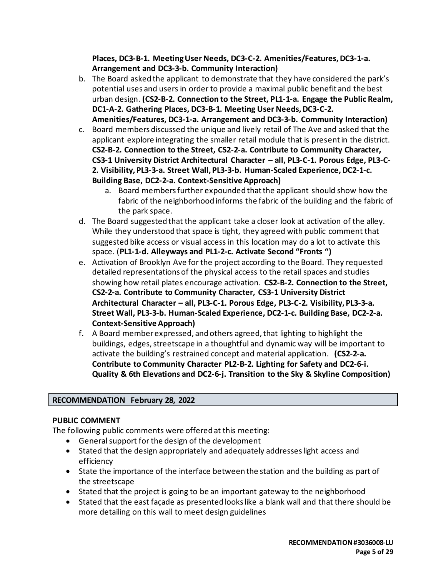**Places, DC3-B-1. Meeting User Needs, DC3-C-2. Amenities/Features, DC3-1-a. Arrangement and DC3-3-b. Community Interaction)**

- b. The Board asked the applicant to demonstrate that they have considered the park's potential uses and users in order to provide a maximal public benefit and the best urban design. **(CS2-B-2. Connection to the Street, PL1-1-a. Engage the Public Realm, DC1-A-2. Gathering Places, DC3-B-1. Meeting User Needs, DC3-C-2.**
- **Amenities/Features, DC3-1-a. Arrangement and DC3-3-b. Community Interaction)** c. Board members discussed the unique and lively retail of The Ave and asked that the applicant explore integrating the smaller retail module that is present in the district. **CS2-B-2. Connection to the Street, CS2-2-a. Contribute to Community Character, CS3-1 University District Architectural Character – all, PL3-C-1. Porous Edge, PL3-C-2. Visibility, PL3-3-a. Street Wall, PL3-3-b. Human-Scaled Experience, DC2-1-c. Building Base, DC2-2-a. Context-Sensitive Approach)**
	- a. Board members further expounded that the applicant should show how the fabric of the neighborhood informs the fabric of the building and the fabric of the park space.
- d. The Board suggested that the applicant take a closer look at activation of the alley. While they understood that space is tight, they agreed with public comment that suggested bike access or visual access in this location may do a lot to activate this space. (**PL1-1-d. Alleyways and PL1-2-c. Activate Second "Fronts ")**
- e. Activation of Brooklyn Ave for the project according to the Board. They requested detailed representations of the physical access to the retail spaces and studies showing how retail plates encourage activation. **CS2-B-2. Connection to the Street, CS2-2-a. Contribute to Community Character, CS3-1 University District Architectural Character – all, PL3-C-1. Porous Edge, PL3-C-2. Visibility, PL3-3-a. Street Wall, PL3-3-b. Human-Scaled Experience, DC2-1-c. Building Base, DC2-2-a. Context-Sensitive Approach)**
- f. A Board member expressed, and others agreed, that lighting to highlight the buildings, edges, streetscape in a thoughtful and dynamic way will be important to activate the building's restrained concept and material application. **(CS2-2-a. Contribute to Community Character PL2-B-2. Lighting for Safety and DC2-6-i. Quality & 6th Elevations and DC2-6-j. Transition to the Sky & Skyline Composition)**

### **RECOMMENDATION February 28, 2022**

#### **PUBLIC COMMENT**

The following public comments were offered at this meeting:

- General support for the design of the development
- Stated that the design appropriately and adequately addresses light access and efficiency
- State the importance of the interface between the station and the building as part of the streetscape
- Stated that the project is going to be an important gateway to the neighborhood
- Stated that the east façade as presented looks like a blank wall and that there should be more detailing on this wall to meet design guidelines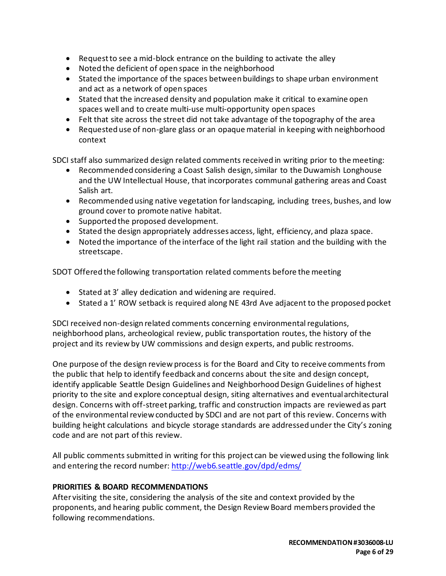- Request to see a mid-block entrance on the building to activate the alley
- Noted the deficient of open space in the neighborhood
- Stated the importance of the spaces between buildings to shape urban environment and act as a network of open spaces
- Stated that the increased density and population make it critical to examine open spaces well and to create multi-use multi-opportunity open spaces
- Felt that site across the street did not take advantage of the topography of the area
- Requested use of non-glare glass or an opaque material in keeping with neighborhood context

SDCI staff also summarized design related comments received in writing prior to the meeting:

- Recommended considering a Coast Salish design, similar to the Duwamish Longhouse and the UW Intellectual House, that incorporates communal gathering areas and Coast Salish art.
- Recommended using native vegetation for landscaping, including trees, bushes, and low ground cover to promote native habitat.
- Supported the proposed development.
- Stated the design appropriately addresses access, light, efficiency, and plaza space.
- Noted the importance of the interface of the light rail station and the building with the streetscape.

SDOT Offered the following transportation related comments before the meeting

- Stated at 3' alley dedication and widening are required.
- Stated a 1' ROW setback is required along NE 43rd Ave adjacent to the proposed pocket

SDCI received non-design related comments concerning environmental regulations, neighborhood plans, archeological review, public transportation routes, the history of the project and its review by UW commissions and design experts, and public restrooms.

One purpose of the design review process is for the Board and City to receive comments from the public that help to identify feedback and concerns about the site and design concept, identify applicable Seattle Design Guidelines and Neighborhood Design Guidelines of highest priority to the site and explore conceptual design, siting alternatives and eventual architectural design. Concerns with off-street parking, traffic and construction impacts are reviewed as part of the environmental review conducted by SDCI and are not part of this review. Concerns with building height calculations and bicycle storage standards are addressed under the City's zoning code and are not part of this review.

All public comments submitted in writing for this project can be viewed using the following link and entering the record number:<http://web6.seattle.gov/dpd/edms/>

### **PRIORITIES & BOARD RECOMMENDATIONS**

After visiting the site, considering the analysis of the site and context provided by the proponents, and hearing public comment, the Design Review Board members provided the following recommendations.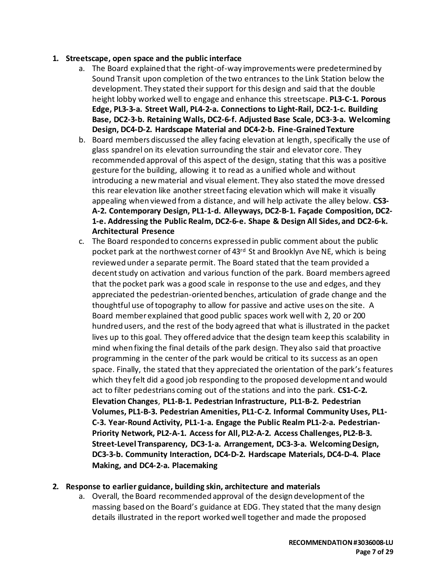#### **1. Streetscape, open space and the public interface**

- a. The Board explained that the right-of-way improvements were predetermined by Sound Transit upon completion of the two entrances to the Link Station below the development. They stated their support for this design and said that the double height lobby worked well to engage and enhance this streetscape. **PL3-C-1. Porous Edge, PL3-3-a. Street Wall, PL4-2-a. Connections to Light-Rail, DC2-1-c. Building Base, DC2-3-b. Retaining Walls, DC2-6-f. Adjusted Base Scale, DC3-3-a. Welcoming Design, DC4-D-2. Hardscape Material and DC4-2-b. Fine-Grained Texture**
- b. Board members discussed the alley facing elevation at length, specifically the use of glass spandrel on its elevation surrounding the stair and elevator core. They recommended approval of this aspect of the design, stating that this was a positive gesture for the building, allowing it to read as a unified whole and without introducing a new material and visual element. They also stated the move dressed this rear elevation like another street facing elevation which will make it visually appealing when viewed from a distance, and will help activate the alley below. **CS3- A-2. Contemporary Design, PL1-1-d. Alleyways, DC2-B-1. Façade Composition, DC2- 1-e. Addressing the Public Realm, DC2-6-e. Shape & Design All Sides, and DC2-6-k. Architectural Presence**
- c. The Board responded to concerns expressed in public comment about the public pocket park at the northwest corner of 43rd St and Brooklyn Ave NE, which is being reviewed under a separate permit. The Board stated that the team provided a decent study on activation and various function of the park. Board members agreed that the pocket park was a good scale in response to the use and edges, and they appreciated the pedestrian-oriented benches, articulation of grade change and the thoughtful use of topography to allow for passive and active uses on the site. A Board member explained that good public spaces work well with 2, 20 or 200 hundred users, and the rest of the body agreed that what is illustrated in the packet lives up to this goal. They offered advice that the design team keep this scalability in mind when fixing the final details of the park design. They also said that proactive programming in the center of the park would be critical to its success as an open space. Finally, the stated that they appreciated the orientation of the park's features which they felt did a good job responding to the proposed development and would act to filter pedestrians coming out of the stations and into the park. **CS1-C-2. Elevation Changes**, **PL1-B-1. Pedestrian Infrastructure, PL1-B-2. Pedestrian Volumes, PL1-B-3. Pedestrian Amenities, PL1-C-2. Informal Community Uses, PL1- C-3. Year-Round Activity, PL1-1-a. Engage the Public Realm PL1-2-a. Pedestrian-Priority Network, PL2-A-1. Access for All, PL2-A-2. Access Challenges, PL2-B-3. Street-Level Transparency, DC3-1-a. Arrangement, DC3-3-a. Welcoming Design, DC3-3-b. Community Interaction, DC4-D-2. Hardscape Materials, DC4-D-4. Place Making, and DC4-2-a. Placemaking**

#### **2. Response to earlier guidance, building skin, architecture and materials**

a. Overall, the Board recommended approval of the design development of the massing based on the Board's guidance at EDG. They stated that the many design details illustrated in the report worked well together and made the proposed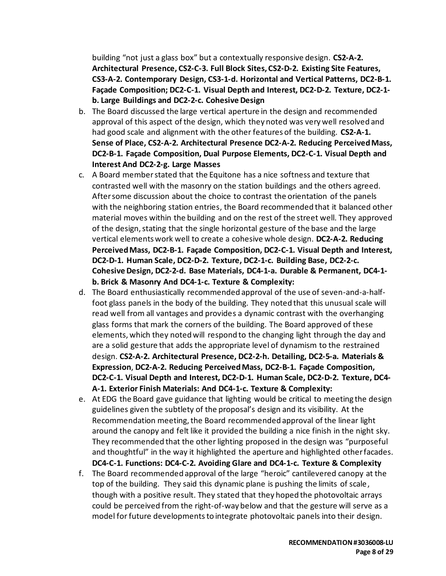building "not just a glass box" but a contextually responsive design. **CS2-A-2. Architectural Presence, CS2-C-3. Full Block Sites, CS2-D-2. Existing Site Features, CS3-A-2. Contemporary Design, CS3-1-d. Horizontal and Vertical Patterns, DC2-B-1. Façade Composition; DC2-C-1. Visual Depth and Interest, DC2-D-2. Texture, DC2-1 b. Large Buildings and DC2-2-c. Cohesive Design**

- b. The Board discussed the large vertical aperture in the design and recommended approval of this aspect of the design, which they noted was very well resolved and had good scale and alignment with the other features of the building. **CS2-A-1. Sense of Place, CS2-A-2. Architectural Presence DC2-A-2. Reducing Perceived Mass, DC2-B-1. Façade Composition, Dual Purpose Elements, DC2-C-1. Visual Depth and Interest And DC2-2-g. Large Masses**
- c. A Board memberstated that the Equitone has a nice softness and texture that contrasted well with the masonry on the station buildings and the others agreed. After some discussion about the choice to contrast the orientation of the panels with the neighboring station entries, the Board recommended that it balanced other material moves within the building and on the rest of the street well. They approved of the design, stating that the single horizontal gesture of the base and the large vertical elements work well to create a cohesive whole design. **DC2-A-2. Reducing Perceived Mass, DC2-B-1. Façade Composition, DC2-C-1. Visual Depth and Interest, DC2-D-1. Human Scale, DC2-D-2. Texture, DC2-1-c. Building Base, DC2-2-c. Cohesive Design, DC2-2-d. Base Materials, DC4-1-a. Durable & Permanent, DC4-1 b. Brick & Masonry And DC4-1-c. Texture & Complexity:**
- d. The Board enthusiastically recommended approval of the use of seven-and-a-halffoot glass panels in the body of the building. They noted that this unusual scale will read well from all vantages and provides a dynamic contrast with the overhanging glass forms that mark the corners of the building. The Board approved of these elements, which they noted will respond to the changing light through the day and are a solid gesture that adds the appropriate level of dynamism to the restrained design. **CS2-A-2. Architectural Presence, DC2-2-h. Detailing, DC2-5-a. Materials & Expression**, **DC2-A-2. Reducing Perceived Mass, DC2-B-1. Façade Composition, DC2-C-1. Visual Depth and Interest, DC2-D-1. Human Scale, DC2-D-2. Texture, DC4- A-1. Exterior Finish Materials: And DC4-1-c. Texture & Complexity:**
- e. At EDG the Board gave guidance that lighting would be critical to meeting the design guidelines given the subtlety of the proposal's design and its visibility. At the Recommendation meeting, the Board recommended approval of the linear light around the canopy and felt like it provided the building a nice finish in the night sky. They recommended that the other lighting proposed in the design was "purposeful and thoughtful" in the way it highlighted the aperture and highlighted other facades. **DC4-C-1. Functions: DC4-C-2. Avoiding Glare and DC4-1-c. Texture & Complexity**
- f. The Board recommended approval of the large "heroic" cantilevered canopy at the top of the building. They said this dynamic plane is pushing the limits of scale, though with a positive result. They stated that they hoped the photovoltaic arrays could be perceived from the right-of-way below and that the gesture will serve as a model for future developments to integrate photovoltaic panels into their design.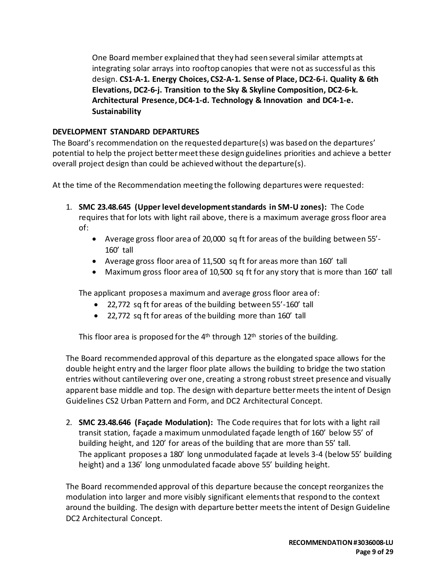One Board member explained that they had seen several similar attempts at integrating solar arrays into rooftop canopies that were not as successful as this design. **CS1-A-1. Energy Choices, CS2-A-1. Sense of Place, DC2-6-i. Quality & 6th Elevations, DC2-6-j. Transition to the Sky & Skyline Composition, DC2-6-k. Architectural Presence, DC4-1-d. Technology & Innovation and DC4-1-e. Sustainability**

### **DEVELOPMENT STANDARD DEPARTURES**

The Board's recommendation on the requested departure(s) was based on the departures' potential to help the project better meet these design guidelines priorities and achieve a better overall project design than could be achieved without the departure(s).

At the time of the Recommendation meeting the following departures were requested:

- 1. **SMC 23.48.645 (Upper level development standards in SM-U zones):** The Code requires that for lots with light rail above, there is a maximum average gross floor area of:
	- Average gross floor area of 20,000 sq ft for areas of the building between 55'- 160' tall
	- Average gross floor area of 11,500 sq ft for areas more than 160' tall
	- Maximum gross floor area of 10,500 sq ft for any story that is more than 160' tall

The applicant proposes a maximum and average gross floor area of:

- 22,772 sq ft for areas of the building between 55'-160' tall
- 22,772 sq ft for areas of the building more than 160' tall

This floor area is proposed for the  $4<sup>th</sup>$  through  $12<sup>th</sup>$  stories of the building.

The Board recommended approval of this departure as the elongated space allows for the double height entry and the larger floor plate allows the building to bridge the two station entries without cantilevering over one, creating a strong robust street presence and visually apparent base middle and top. The design with departure better meets the intent of Design Guidelines CS2 Urban Pattern and Form, and DC2 Architectural Concept.

2. **SMC 23.48.646 (Façade Modulation):** The Code requires that for lots with a light rail transit station, façade a maximum unmodulated façade length of 160' below 55' of building height, and 120' for areas of the building that are more than 55' tall. The applicant proposes a 180' long unmodulated façade at levels 3-4 (below 55' building height) and a 136' long unmodulated facade above 55' building height.

The Board recommended approval of this departure because the concept reorganizes the modulation into larger and more visibly significant elements that respond to the context around the building. The design with departure better meets the intent of Design Guideline DC2 Architectural Concept.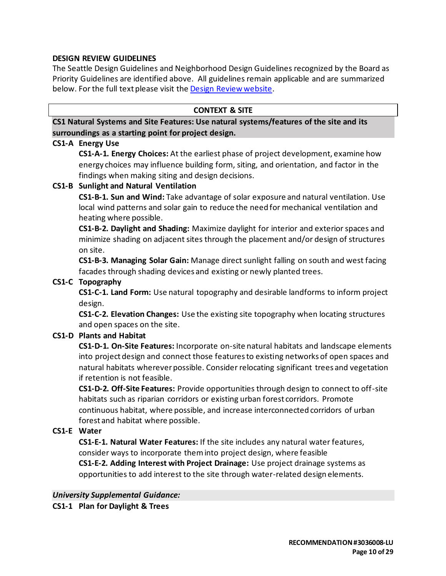#### **DESIGN REVIEW GUIDELINES**

The Seattle Design Guidelines and Neighborhood Design Guidelines recognized by the Board as Priority Guidelines are identified above. All guidelines remain applicable and are summarized below. For the full text please visit the [Design Review website.](https://www.seattle.gov/dpd/aboutus/whoweare/designreview/designguidelines/default.htm)

#### **CONTEXT & SITE**

**CS1 Natural Systems and Site Features: Use natural systems/features of the site and its surroundings as a starting point for project design.**

#### **CS1-A Energy Use**

**CS1-A-1. Energy Choices:** At the earliest phase of project development, examine how energy choices may influence building form, siting, and orientation, and factor in the findings when making siting and design decisions.

#### **CS1-B Sunlight and Natural Ventilation**

**CS1-B-1. Sun and Wind:** Take advantage of solar exposure and natural ventilation. Use local wind patterns and solar gain to reduce the need for mechanical ventilation and heating where possible.

**CS1-B-2. Daylight and Shading:** Maximize daylight for interior and exterior spaces and minimize shading on adjacent sites through the placement and/or design of structures on site.

**CS1-B-3. Managing Solar Gain:** Manage direct sunlight falling on south and west facing facades through shading devices and existing or newly planted trees.

#### **CS1-C Topography**

**CS1-C-1. Land Form:** Use natural topography and desirable landforms to inform project design.

**CS1-C-2. Elevation Changes:** Use the existing site topography when locating structures and open spaces on the site.

### **CS1-D Plants and Habitat**

**CS1-D-1. On-Site Features:** Incorporate on-site natural habitats and landscape elements into project design and connect those features to existing networks of open spaces and natural habitats wherever possible. Consider relocating significant trees and vegetation if retention is not feasible.

**CS1-D-2. Off-Site Features:** Provide opportunities through design to connect to off-site habitats such as riparian corridors or existing urban forest corridors. Promote continuous habitat, where possible, and increase interconnected corridors of urban forest and habitat where possible.

#### **CS1-E Water**

**CS1-E-1. Natural Water Features:** If the site includes any natural water features, consider ways to incorporate them into project design, where feasible **CS1-E-2. Adding Interest with Project Drainage:** Use project drainage systems as opportunities to add interest to the site through water-related design elements.

*University Supplemental Guidance:* **CS1-1 Plan for Daylight & Trees**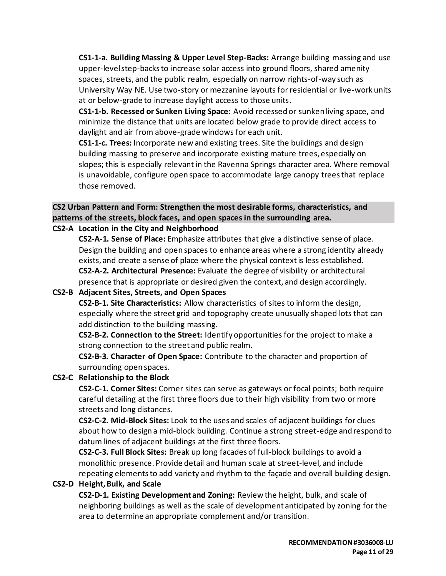**CS1-1-a. Building Massing & Upper Level Step-Backs:** Arrange building massing and use upper-level step-backs to increase solar access into ground floors, shared amenity spaces, streets, and the public realm, especially on narrow rights-of-way such as University Way NE. Use two-story or mezzanine layouts for residential or live-work units at or below-grade to increase daylight access to those units.

**CS1-1-b. Recessed or Sunken Living Space:** Avoid recessed or sunken living space, and minimize the distance that units are located below grade to provide direct access to daylight and air from above-grade windows for each unit.

**CS1-1-c. Trees:** Incorporate new and existing trees. Site the buildings and design building massing to preserve and incorporate existing mature trees, especially on slopes; this is especially relevant in the Ravenna Springs character area. Where removal is unavoidable, configure open space to accommodate large canopy trees that replace those removed.

# **CS2 Urban Pattern and Form: Strengthen the most desirable forms, characteristics, and patterns of the streets, block faces, and open spaces in the surrounding area.**

### **CS2-A Location in the City and Neighborhood**

**CS2-A-1. Sense of Place:** Emphasize attributes that give a distinctive sense of place. Design the building and open spaces to enhance areas where a strong identity already exists, and create a sense of place where the physical context is less established. **CS2-A-2. Architectural Presence:** Evaluate the degree of visibility or architectural presence that is appropriate or desired given the context, and design accordingly.

### **CS2-B Adjacent Sites, Streets, and Open Spaces**

**CS2-B-1. Site Characteristics:** Allow characteristics of sites to inform the design, especially where the street grid and topography create unusually shaped lots that can add distinction to the building massing.

**CS2-B-2. Connection to the Street:** Identify opportunities for the project to make a strong connection to the street and public realm.

**CS2-B-3. Character of Open Space:** Contribute to the character and proportion of surrounding open spaces.

### **CS2-C Relationship to the Block**

**CS2-C-1. Corner Sites:** Corner sites can serve as gateways or focal points; both require careful detailing at the first three floors due to their high visibility from two or more streets and long distances.

**CS2-C-2. Mid-Block Sites:** Look to the uses and scales of adjacent buildings for clues about how to design a mid-block building. Continue a strong street-edge and respond to datum lines of adjacent buildings at the first three floors.

**CS2-C-3. Full Block Sites:** Break up long facades of full-block buildings to avoid a monolithic presence. Provide detail and human scale at street-level, and include repeating elements to add variety and rhythm to the façade and overall building design.

### **CS2-D Height, Bulk, and Scale**

**CS2-D-1. Existing Development and Zoning:** Review the height, bulk, and scale of neighboring buildings as well as the scale of development anticipated by zoning for the area to determine an appropriate complement and/or transition.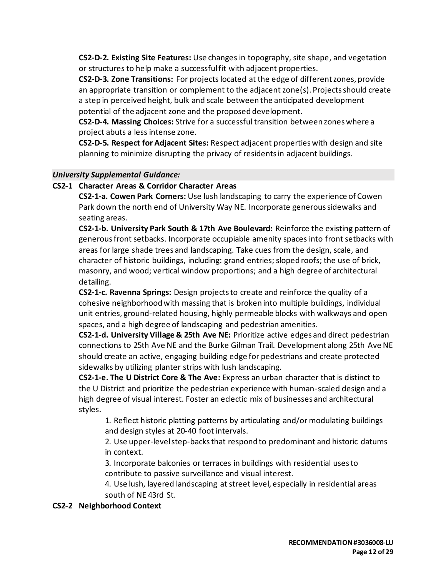**CS2-D-2. Existing Site Features:** Use changes in topography, site shape, and vegetation or structures to help make a successful fit with adjacent properties.

**CS2-D-3. Zone Transitions:** For projects located at the edge of different zones, provide an appropriate transition or complement to the adjacent zone(s). Projects should create a step in perceived height, bulk and scale between the anticipated development potential of the adjacent zone and the proposed development.

**CS2-D-4. Massing Choices:** Strive for a successful transition between zones where a project abuts a less intense zone.

**CS2-D-5. Respect for Adjacent Sites:** Respect adjacent properties with design and site planning to minimize disrupting the privacy of residents in adjacent buildings.

#### *University Supplemental Guidance:*

#### **CS2-1 Character Areas & Corridor Character Areas**

**CS2-1-a. Cowen Park Corners:** Use lush landscaping to carry the experience of Cowen Park down the north end of University Way NE. Incorporate generous sidewalks and seating areas.

**CS2-1-b. University Park South & 17th Ave Boulevard:** Reinforce the existing pattern of generous front setbacks. Incorporate occupiable amenity spaces into front setbacks with areas for large shade trees and landscaping. Take cues from the design, scale, and character of historic buildings, including: grand entries; sloped roofs; the use of brick, masonry, and wood; vertical window proportions; and a high degree of architectural detailing.

**CS2-1-c. Ravenna Springs:** Design projects to create and reinforce the quality of a cohesive neighborhood with massing that is broken into multiple buildings, individual unit entries, ground-related housing, highly permeable blocks with walkways and open spaces, and a high degree of landscaping and pedestrian amenities.

**CS2-1-d. University Village & 25th Ave NE:** Prioritize active edges and direct pedestrian connections to 25th Ave NE and the Burke Gilman Trail. Development along 25th Ave NE should create an active, engaging building edge for pedestrians and create protected sidewalks by utilizing planter strips with lush landscaping.

**CS2-1-e. The U District Core & The Ave:** Express an urban character that is distinct to the U District and prioritize the pedestrian experience with human-scaled design and a high degree of visual interest. Foster an eclectic mix of businesses and architectural styles.

1. Reflect historic platting patterns by articulating and/or modulating buildings and design styles at 20-40 foot intervals.

2. Use upper-level step-backs that respond to predominant and historic datums in context.

3. Incorporate balconies or terraces in buildings with residential uses to contribute to passive surveillance and visual interest.

4. Use lush, layered landscaping at street level, especially in residential areas south of NE 43rd St.

### **CS2-2 Neighborhood Context**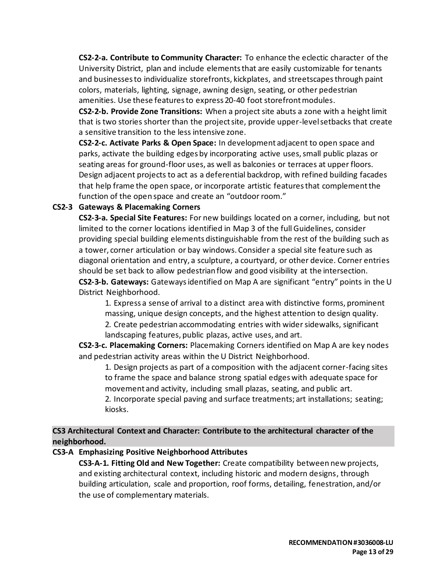**CS2-2-a. Contribute to Community Character:** To enhance the eclectic character of the University District, plan and include elements that are easily customizable for tenants and businesses to individualize storefronts, kickplates, and streetscapes through paint colors, materials, lighting, signage, awning design, seating, or other pedestrian amenities. Use these features to express 20-40 foot storefront modules.

**CS2-2-b. Provide Zone Transitions:** When a project site abuts a zone with a height limit that is two stories shorter than the project site, provide upper-level setbacks that create a sensitive transition to the less intensive zone.

**CS2-2-c. Activate Parks & Open Space:** In development adjacent to open space and parks, activate the building edges by incorporating active uses, small public plazas or seating areas for ground-floor uses, as well as balconies or terraces at upper floors. Design adjacent projects to act as a deferential backdrop, with refined building facades that help frame the open space, or incorporate artistic features that complement the function of the open space and create an "outdoor room."

### **CS2-3 Gateways & Placemaking Corners**

**CS2-3-a. Special Site Features:** For new buildings located on a corner, including, but not limited to the corner locations identified in Map 3 of the full Guidelines, consider providing special building elements distinguishable from the rest of the building such as a tower, corner articulation or bay windows. Consider a special site feature such as diagonal orientation and entry, a sculpture, a courtyard, or other device. Corner entries should be set back to allow pedestrian flow and good visibility at the intersection. **CS2-3-b. Gateways:** Gateways identified on Map A are significant "entry" points in the U District Neighborhood.

1. Express a sense of arrival to a distinct area with distinctive forms, prominent massing, unique design concepts, and the highest attention to design quality.

2. Create pedestrian accommodating entries with wider sidewalks, significant landscaping features, public plazas, active uses, and art.

**CS2-3-c. Placemaking Corners:** Placemaking Corners identified on Map A are key nodes and pedestrian activity areas within the U District Neighborhood.

1. Design projects as part of a composition with the adjacent corner-facing sites to frame the space and balance strong spatial edges with adequate space for movement and activity, including small plazas, seating, and public art.

2. Incorporate special paving and surface treatments; art installations; seating; kiosks.

### **CS3 Architectural Context and Character: Contribute to the architectural character of the neighborhood.**

**CS3-A Emphasizing Positive Neighborhood Attributes**

**CS3-A-1. Fitting Old and New Together:** Create compatibility between new projects, and existing architectural context, including historic and modern designs, through building articulation, scale and proportion, roof forms, detailing, fenestration, and/or the use of complementary materials.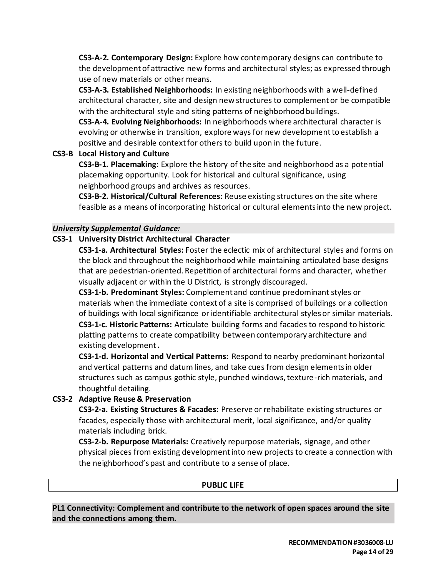**CS3-A-2. Contemporary Design:** Explore how contemporary designs can contribute to the development of attractive new forms and architectural styles; as expressed through use of new materials or other means.

**CS3-A-3. Established Neighborhoods:** In existing neighborhoods with a well-defined architectural character, site and design new structures to complement or be compatible with the architectural style and siting patterns of neighborhood buildings.

**CS3-A-4. Evolving Neighborhoods:** In neighborhoods where architectural character is evolving or otherwise in transition, explore ways for new development to establish a positive and desirable context for others to build upon in the future.

### **CS3-B Local History and Culture**

**CS3-B-1. Placemaking:** Explore the history of the site and neighborhood as a potential placemaking opportunity. Look for historical and cultural significance, using neighborhood groups and archives as resources.

**CS3-B-2. Historical/Cultural References:** Reuse existing structures on the site where feasible as a means of incorporating historical or cultural elements into the new project.

### *University Supplemental Guidance:*

### **CS3-1 University District Architectural Character**

**CS3-1-a. Architectural Styles:** Foster the eclectic mix of architectural styles and forms on the block and throughout the neighborhood while maintaining articulated base designs that are pedestrian-oriented. Repetition of architectural forms and character, whether visually adjacent or within the U District, is strongly discouraged.

**CS3-1-b. Predominant Styles:** Complement and continue predominant styles or materials when the immediate context of a site is comprised of buildings or a collection of buildings with local significance or identifiable architectural styles or similar materials. **CS3-1-c. Historic Patterns:** Articulate building forms and facades to respond to historic platting patterns to create compatibility between contemporary architecture and existing development**.**

**CS3-1-d. Horizontal and Vertical Patterns:** Respond to nearby predominant horizontal and vertical patterns and datum lines, and take cues from design elements in older structures such as campus gothic style, punched windows, texture-rich materials, and thoughtful detailing.

# **CS3-2 Adaptive Reuse & Preservation**

**CS3-2-a. Existing Structures & Facades:** Preserve or rehabilitate existing structures or facades, especially those with architectural merit, local significance, and/or quality materials including brick.

**CS3-2-b. Repurpose Materials:** Creatively repurpose materials, signage, and other physical pieces from existing development into new projects to create a connection with the neighborhood's past and contribute to a sense of place.

### **PUBLIC LIFE**

**PL1 Connectivity: Complement and contribute to the network of open spaces around the site and the connections among them.**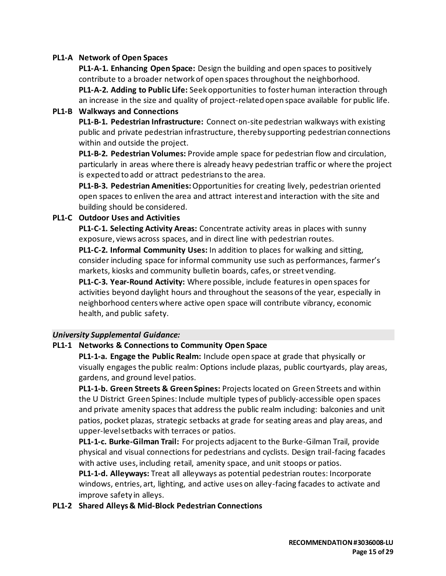#### **PL1-A Network of Open Spaces**

**PL1-A-1. Enhancing Open Space:** Design the building and open spaces to positively contribute to a broader network of open spaces throughout the neighborhood. **PL1-A-2. Adding to Public Life:** Seek opportunities to foster human interaction through an increase in the size and quality of project-related open space available for public life.

#### **PL1-B Walkways and Connections**

**PL1-B-1. Pedestrian Infrastructure:** Connect on-site pedestrian walkways with existing public and private pedestrian infrastructure, thereby supporting pedestrian connections within and outside the project.

**PL1-B-2. Pedestrian Volumes:** Provide ample space for pedestrian flow and circulation, particularly in areas where there is already heavy pedestrian traffic or where the project is expected to add or attract pedestrians to the area.

**PL1-B-3. Pedestrian Amenities:**Opportunities for creating lively, pedestrian oriented open spaces to enliven the area and attract interest and interaction with the site and building should be considered.

#### **PL1-C Outdoor Uses and Activities**

**PL1-C-1. Selecting Activity Areas:** Concentrate activity areas in places with sunny exposure, views across spaces, and in direct line with pedestrian routes.

**PL1-C-2. Informal Community Uses:** In addition to places for walking and sitting, consider including space for informal community use such as performances, farmer's markets, kiosks and community bulletin boards, cafes, or street vending.

**PL1-C-3. Year-Round Activity:** Where possible, include features in open spaces for activities beyond daylight hours and throughout the seasons of the year, especially in neighborhood centers where active open space will contribute vibrancy, economic health, and public safety.

#### *University Supplemental Guidance:*

#### **PL1-1 Networks & Connections to Community Open Space**

**PL1-1-a. Engage the Public Realm:** Include open space at grade that physically or visually engages the public realm: Options include plazas, public courtyards, play areas, gardens, and ground level patios.

**PL1-1-b. Green Streets & Green Spines:** Projects located on Green Streets and within the U District Green Spines: Include multiple types of publicly-accessible open spaces and private amenity spaces that address the public realm including: balconies and unit patios, pocket plazas, strategic setbacks at grade for seating areas and play areas, and upper-level setbacks with terraces or patios.

**PL1-1-c. Burke-Gilman Trail:** For projects adjacent to the Burke-Gilman Trail, provide physical and visual connections for pedestrians and cyclists. Design trail-facing facades with active uses, including retail, amenity space, and unit stoops or patios.

**PL1-1-d. Alleyways:** Treat all alleyways as potential pedestrian routes: Incorporate windows, entries, art, lighting, and active uses on alley-facing facades to activate and improve safety in alleys.

#### **PL1-2 Shared Alleys & Mid-Block Pedestrian Connections**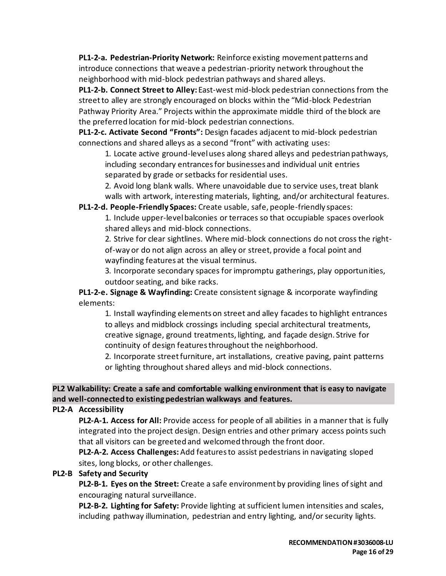**PL1-2-a. Pedestrian-Priority Network:** Reinforce existing movement patterns and introduce connections that weave a pedestrian-priority network throughout the neighborhood with mid-block pedestrian pathways and shared alleys.

**PL1-2-b. Connect Street to Alley:** East-west mid-block pedestrian connections from the street to alley are strongly encouraged on blocks within the "Mid-block Pedestrian Pathway Priority Area." Projects within the approximate middle third of the block are the preferred location for mid-block pedestrian connections.

**PL1-2-c. Activate Second "Fronts":** Design facades adjacent to mid-block pedestrian connections and shared alleys as a second "front" with activating uses:

1. Locate active ground-level uses along shared alleys and pedestrian pathways, including secondary entrances for businesses and individual unit entries separated by grade or setbacks for residential uses.

2. Avoid long blank walls. Where unavoidable due to service uses, treat blank walls with artwork, interesting materials, lighting, and/or architectural features.

**PL1-2-d. People-Friendly Spaces:** Create usable, safe, people-friendly spaces:

1. Include upper-level balconies or terraces so that occupiable spaces overlook shared alleys and mid-block connections.

2. Strive for clear sightlines. Where mid-block connections do not cross the rightof-way or do not align across an alley or street, provide a focal point and wayfinding features at the visual terminus.

3. Incorporate secondary spaces for impromptu gatherings, play opportunities, outdoor seating, and bike racks.

**PL1-2-e. Signage & Wayfinding:** Create consistent signage & incorporate wayfinding elements:

1. Install wayfinding elements on street and alley facades to highlight entrances to alleys and midblock crossings including special architectural treatments, creative signage, ground treatments, lighting, and façade design. Strive for continuity of design features throughout the neighborhood.

2. Incorporate street furniture, art installations, creative paving, paint patterns or lighting throughout shared alleys and mid-block connections.

### **PL2 Walkability: Create a safe and comfortable walking environment that is easy to navigate and well-connected to existing pedestrian walkways and features.**

### **PL2-A Accessibility**

**PL2-A-1. Access for All:** Provide access for people of all abilities in a manner that is fully integrated into the project design. Design entries and other primary access points such that all visitors can be greeted and welcomed through the front door.

**PL2-A-2. Access Challenges:**Add features to assist pedestrians in navigating sloped sites, long blocks, or other challenges.

### **PL2-B Safety and Security**

**PL2-B-1. Eyes on the Street:** Create a safe environment by providing lines of sight and encouraging natural surveillance.

**PL2-B-2. Lighting for Safety:** Provide lighting at sufficient lumen intensities and scales, including pathway illumination, pedestrian and entry lighting, and/or security lights.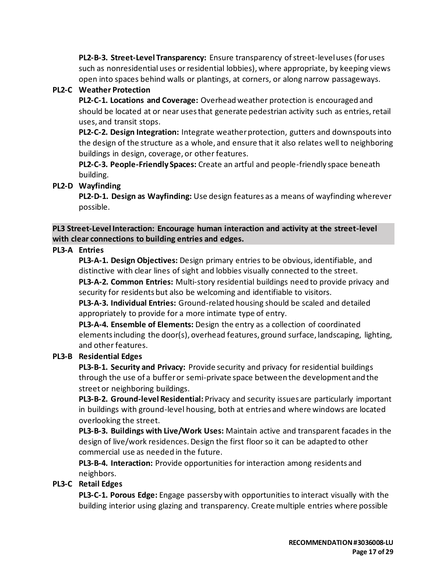**PL2-B-3. Street-Level Transparency:** Ensure transparency of street-level uses (for uses such as nonresidential uses or residential lobbies), where appropriate, by keeping views open into spaces behind walls or plantings, at corners, or along narrow passageways.

### **PL2-C Weather Protection**

**PL2-C-1. Locations and Coverage:** Overhead weather protection is encouraged and should be located at or near uses that generate pedestrian activity such as entries, retail uses, and transit stops.

**PL2-C-2. Design Integration:** Integrate weather protection, gutters and downspouts into the design of the structure as a whole, and ensure that it also relates well to neighboring buildings in design, coverage, or other features.

**PL2-C-3. People-Friendly Spaces:** Create an artful and people-friendly space beneath building.

#### **PL2-D Wayfinding**

**PL2-D-1. Design as Wayfinding:** Use design features as a means of wayfinding wherever possible.

**PL3 Street-Level Interaction: Encourage human interaction and activity at the street-level with clear connections to building entries and edges.**

#### **PL3-A Entries**

**PL3-A-1. Design Objectives:** Design primary entries to be obvious, identifiable, and distinctive with clear lines of sight and lobbies visually connected to the street.

**PL3-A-2. Common Entries:** Multi-story residential buildings need to provide privacy and security for residents but also be welcoming and identifiable to visitors.

**PL3-A-3. Individual Entries:** Ground-related housing should be scaled and detailed appropriately to provide for a more intimate type of entry.

**PL3-A-4. Ensemble of Elements:** Design the entry as a collection of coordinated elements including the door(s), overhead features, ground surface, landscaping, lighting, and other features.

#### **PL3-B Residential Edges**

**PL3-B-1. Security and Privacy:** Provide security and privacy for residential buildings through the use of a buffer or semi-private space between the development and the street or neighboring buildings.

**PL3-B-2. Ground-level Residential:** Privacy and security issues are particularly important in buildings with ground-level housing, both at entries and where windows are located overlooking the street.

**PL3-B-3. Buildings with Live/Work Uses:** Maintain active and transparent facades in the design of live/work residences. Design the first floor so it can be adapted to other commercial use as needed in the future.

**PL3-B-4. Interaction:** Provide opportunities for interaction among residents and neighbors.

### **PL3-C Retail Edges**

**PL3-C-1. Porous Edge:** Engage passersby with opportunities to interact visually with the building interior using glazing and transparency. Create multiple entries where possible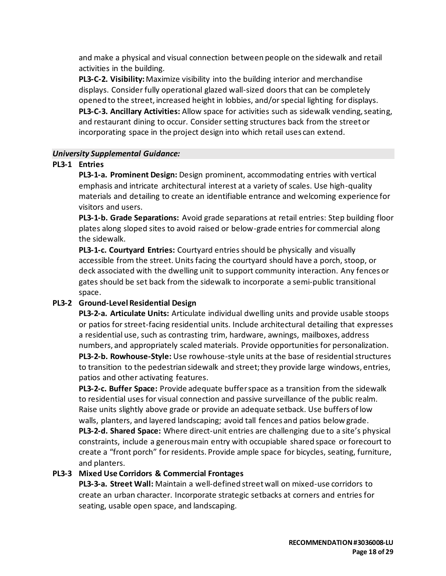and make a physical and visual connection between people on the sidewalk and retail activities in the building.

**PL3-C-2. Visibility:**Maximize visibility into the building interior and merchandise displays. Consider fully operational glazed wall-sized doors that can be completely opened to the street, increased height in lobbies, and/or special lighting for displays. **PL3-C-3. Ancillary Activities:** Allow space for activities such as sidewalk vending, seating, and restaurant dining to occur. Consider setting structures back from the street or incorporating space in the project design into which retail uses can extend.

#### *University Supplemental Guidance:*

#### **PL3-1 Entries**

**PL3-1-a. Prominent Design:** Design prominent, accommodating entries with vertical emphasis and intricate architectural interest at a variety of scales. Use high-quality materials and detailing to create an identifiable entrance and welcoming experience for visitors and users.

**PL3-1-b. Grade Separations:** Avoid grade separations at retail entries: Step building floor plates along sloped sites to avoid raised or below-grade entries for commercial along the sidewalk.

**PL3-1-c. Courtyard Entries:** Courtyard entries should be physically and visually accessible from the street. Units facing the courtyard should have a porch, stoop, or deck associated with the dwelling unit to support community interaction. Any fences or gates should be set back from the sidewalk to incorporate a semi-public transitional space.

### **PL3-2 Ground-Level Residential Design**

**PL3-2-a. Articulate Units:** Articulate individual dwelling units and provide usable stoops or patios for street-facing residential units. Include architectural detailing that expresses a residential use, such as contrasting trim, hardware, awnings, mailboxes, address numbers, and appropriately scaled materials. Provide opportunities for personalization.

**PL3-2-b. Rowhouse-Style:** Use rowhouse-style units at the base of residential structures to transition to the pedestrian sidewalk and street; they provide large windows, entries, patios and other activating features.

**PL3-2-c. Buffer Space:** Provide adequate buffer space as a transition from the sidewalk to residential uses for visual connection and passive surveillance of the public realm. Raise units slightly above grade or provide an adequate setback. Use buffers of low walls, planters, and layered landscaping; avoid tall fences and patios below grade.

**PL3-2-d. Shared Space:** Where direct-unit entries are challenging due to a site's physical constraints, include a generous main entry with occupiable shared space or forecourt to create a "front porch" for residents. Provide ample space for bicycles, seating, furniture, and planters.

### **PL3-3 Mixed Use Corridors & Commercial Frontages**

**PL3-3-a. Street Wall:** Maintain a well-defined street wall on mixed-use corridors to create an urban character. Incorporate strategic setbacks at corners and entries for seating, usable open space, and landscaping.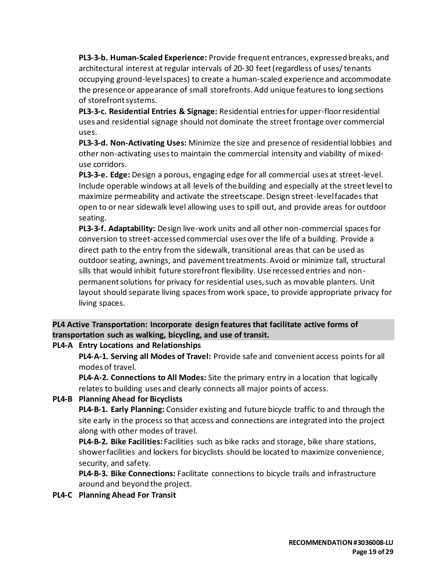**PL3-3-b. Human-Scaled Experience:** Provide frequent entrances, expressed breaks, and architectural interest at regular intervals of 20-30 feet (regardless of uses/ tenants occupying ground-level spaces) to create a human-scaled experience and accommodate the presence or appearance of small storefronts. Add unique features to long sections of storefront systems.

**PL3-3-c. Residential Entries & Signage:** Residential entries for upper-floor residential uses and residential signage should not dominate the street frontage over commercial uses.

**PL3-3-d. Non-Activating Uses:** Minimize the size and presence of residential lobbies and other non-activating uses to maintain the commercial intensity and viability of mixeduse corridors.

**PL3-3-e. Edge:** Design a porous, engaging edge for all commercial uses at street-level. Include operable windows at all levels of the building and especially at the street level to maximize permeability and activate the streetscape. Design street-level facades that open to or near sidewalk level allowing uses to spill out, and provide areas for outdoor seating.

**PL3-3-f. Adaptability:** Design live-work units and all other non-commercial spaces for conversion to street-accessed commercial uses over the life of a building. Provide a direct path to the entry from the sidewalk, transitional areas that can be used as outdoor seating, awnings, and pavement treatments. Avoid or minimize tall, structural sills that would inhibit future storefront flexibility. Use recessed entries and nonpermanent solutions for privacy for residential uses, such as movable planters. Unit layout should separate living spaces from work space, to provide appropriate privacy for living spaces.

# **PL4 Active Transportation: Incorporate design features that facilitate active forms of transportation such as walking, bicycling, and use of transit.**

# **PL4-A Entry Locations and Relationships**

**PL4-A-1. Serving all Modes of Travel:** Provide safe and convenient access points for all modes of travel.

**PL4-A-2. Connections to All Modes:** Site the primary entry in a location that logically relates to building uses and clearly connects all major points of access.

# **PL4-B Planning Ahead for Bicyclists**

**PL4-B-1. Early Planning:** Consider existing and future bicycle traffic to and through the site early in the process so that access and connections are integrated into the project along with other modes of travel.

**PL4-B-2. Bike Facilities:** Facilities such as bike racks and storage, bike share stations, shower facilities and lockers for bicyclists should be located to maximize convenience, security, and safety.

**PL4-B-3. Bike Connections:** Facilitate connections to bicycle trails and infrastructure around and beyond the project.

### **PL4-C Planning Ahead For Transit**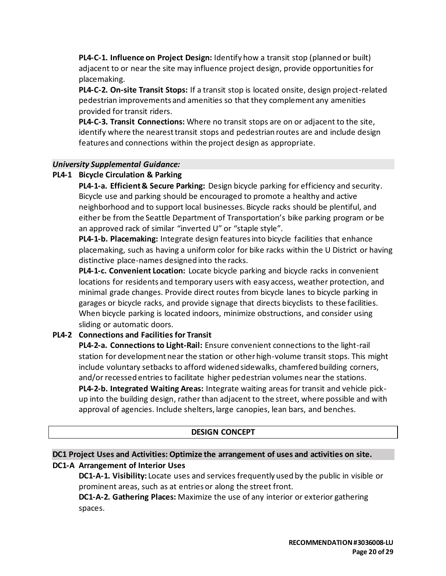**PL4-C-1. Influence on Project Design:** Identify how a transit stop (planned or built) adjacent to or near the site may influence project design, provide opportunities for placemaking.

**PL4-C-2. On-site Transit Stops:** If a transit stop is located onsite, design project-related pedestrian improvements and amenities so that they complement any amenities provided for transit riders.

**PL4-C-3. Transit Connections:** Where no transit stops are on or adjacent to the site, identify where the nearest transit stops and pedestrian routes are and include design features and connections within the project design as appropriate.

#### *University Supplemental Guidance:*

#### **PL4-1 Bicycle Circulation & Parking**

**PL4-1-a. Efficient & Secure Parking:** Design bicycle parking for efficiency and security. Bicycle use and parking should be encouraged to promote a healthy and active neighborhood and to support local businesses. Bicycle racks should be plentiful, and either be from the Seattle Department of Transportation's bike parking program or be an approved rack of similar "inverted U" or "staple style".

**PL4-1-b. Placemaking:** Integrate design features into bicycle facilities that enhance placemaking, such as having a uniform color for bike racks within the U District or having distinctive place-names designed into the racks.

**PL4-1-c. Convenient Location:** Locate bicycle parking and bicycle racks in convenient locations for residents and temporary users with easy access, weather protection, and minimal grade changes. Provide direct routes from bicycle lanes to bicycle parking in garages or bicycle racks, and provide signage that directs bicyclists to these facilities. When bicycle parking is located indoors, minimize obstructions, and consider using sliding or automatic doors.

### **PL4-2 Connections and Facilities for Transit**

**PL4-2-a. Connections to Light-Rail:** Ensure convenient connections to the light-rail station for development near the station or other high-volume transit stops. This might include voluntary setbacks to afford widened sidewalks, chamfered building corners, and/or recessed entries to facilitate higher pedestrian volumes near the stations.

**PL4-2-b. Integrated Waiting Areas:** Integrate waiting areas for transit and vehicle pickup into the building design, rather than adjacent to the street, where possible and with approval of agencies. Include shelters, large canopies, lean bars, and benches.

### **DESIGN CONCEPT**

# **DC1 Project Uses and Activities: Optimize the arrangement of uses and activities on site.**

### **DC1-A Arrangement of Interior Uses**

**DC1-A-1. Visibility:** Locate uses and services frequently used by the public in visible or prominent areas, such as at entries or along the street front.

**DC1-A-2. Gathering Places:** Maximize the use of any interior or exterior gathering spaces.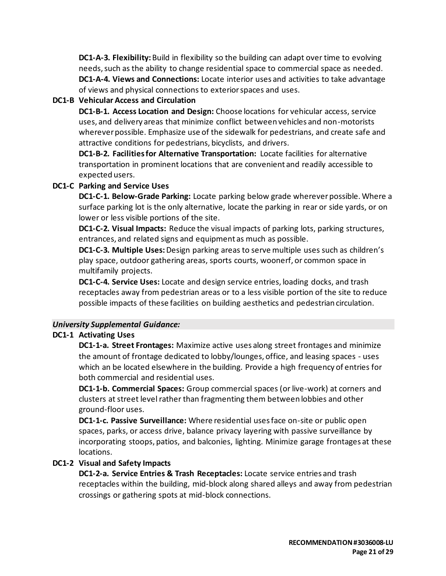**DC1-A-3. Flexibility:** Build in flexibility so the building can adapt over time to evolving needs, such as the ability to change residential space to commercial space as needed. **DC1-A-4. Views and Connections:** Locate interior uses and activities to take advantage of views and physical connections to exterior spaces and uses.

### **DC1-B Vehicular Access and Circulation**

**DC1-B-1. Access Location and Design:** Choose locations for vehicular access, service uses, and delivery areas that minimize conflict between vehicles and non-motorists wherever possible. Emphasize use of the sidewalk for pedestrians, and create safe and attractive conditions for pedestrians, bicyclists, and drivers.

**DC1-B-2. Facilities for Alternative Transportation:** Locate facilities for alternative transportation in prominent locations that are convenient and readily accessible to expected users.

#### **DC1-C Parking and Service Uses**

**DC1-C-1. Below-Grade Parking:** Locate parking below grade wherever possible. Where a surface parking lot is the only alternative, locate the parking in rear or side yards, or on lower or less visible portions of the site.

**DC1-C-2. Visual Impacts:** Reduce the visual impacts of parking lots, parking structures, entrances, and related signs and equipment as much as possible.

**DC1-C-3. Multiple Uses:** Design parking areas to serve multiple uses such as children's play space, outdoor gathering areas, sports courts, woonerf, or common space in multifamily projects.

**DC1-C-4. Service Uses:** Locate and design service entries, loading docks, and trash receptacles away from pedestrian areas or to a less visible portion of the site to reduce possible impacts of these facilities on building aesthetics and pedestrian circulation.

#### *University Supplemental Guidance:*

### **DC1-1 Activating Uses**

**DC1-1-a. Street Frontages:** Maximize active uses along street frontages and minimize the amount of frontage dedicated to lobby/lounges, office, and leasing spaces - uses which an be located elsewhere in the building. Provide a high frequency of entries for both commercial and residential uses.

**DC1-1-b. Commercial Spaces:** Group commercial spaces (or live-work) at corners and clusters at street level rather than fragmenting them between lobbies and other ground-floor uses.

**DC1-1-c. Passive Surveillance:** Where residential uses face on-site or public open spaces, parks, or access drive, balance privacy layering with passive surveillance by incorporating stoops, patios, and balconies, lighting. Minimize garage frontages at these locations.

### **DC1-2 Visual and Safety Impacts**

**DC1-2-a. Service Entries & Trash Receptacles:** Locate service entries and trash receptacles within the building, mid-block along shared alleys and away from pedestrian crossings or gathering spots at mid-block connections.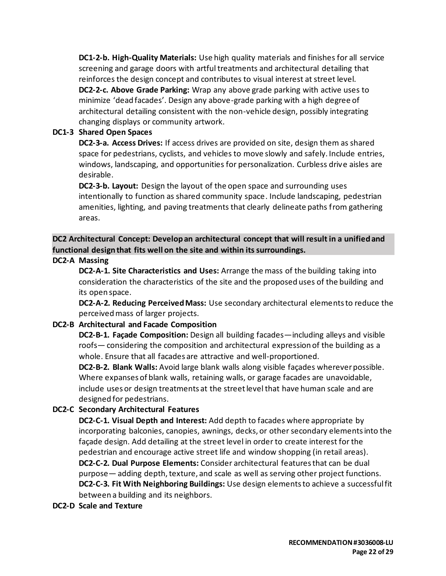**DC1-2-b. High-Quality Materials:** Use high quality materials and finishes for all service screening and garage doors with artful treatments and architectural detailing that reinforces the design concept and contributes to visual interest at street level. **DC2-2-c. Above Grade Parking:** Wrap any above grade parking with active uses to minimize 'dead facades'. Design any above-grade parking with a high degree of architectural detailing consistent with the non-vehicle design, possibly integrating changing displays or community artwork.

#### **DC1-3 Shared Open Spaces**

**DC2-3-a. Access Drives:** If access drives are provided on site, design them as shared space for pedestrians, cyclists, and vehicles to move slowly and safely. Include entries, windows, landscaping, and opportunities for personalization. Curbless drive aisles are desirable.

**DC2-3-b. Layout:** Design the layout of the open space and surrounding uses intentionally to function as shared community space. Include landscaping, pedestrian amenities, lighting, and paving treatments that clearly delineate paths from gathering areas.

## **DC2 Architectural Concept: Develop an architectural concept that will result in a unified and functional design that fits well on the site and within its surroundings.**

#### **DC2-A Massing**

**DC2-A-1. Site Characteristics and Uses:** Arrange the mass of the building taking into consideration the characteristics of the site and the proposed uses of the building and its open space.

**DC2-A-2. Reducing Perceived Mass:** Use secondary architectural elements to reduce the perceived mass of larger projects.

### **DC2-B Architectural and Facade Composition**

**DC2-B-1. Façade Composition:** Design all building facades—including alleys and visible roofs— considering the composition and architectural expression of the building as a whole. Ensure that all facades are attractive and well-proportioned.

**DC2-B-2. Blank Walls:** Avoid large blank walls along visible façades wherever possible. Where expanses of blank walls, retaining walls, or garage facades are unavoidable, include uses or design treatments at the street level that have human scale and are designed for pedestrians.

### **DC2-C Secondary Architectural Features**

**DC2-C-1. Visual Depth and Interest:** Add depth to facades where appropriate by incorporating balconies, canopies, awnings, decks, or other secondary elements into the façade design. Add detailing at the street level in order to create interest for the pedestrian and encourage active street life and window shopping (in retail areas). **DC2-C-2. Dual Purpose Elements:** Consider architectural features that can be dual purpose— adding depth, texture, and scale as well as serving other project functions. **DC2-C-3. Fit With Neighboring Buildings:** Use design elements to achieve a successful fit between a building and its neighbors.

**DC2-D Scale and Texture**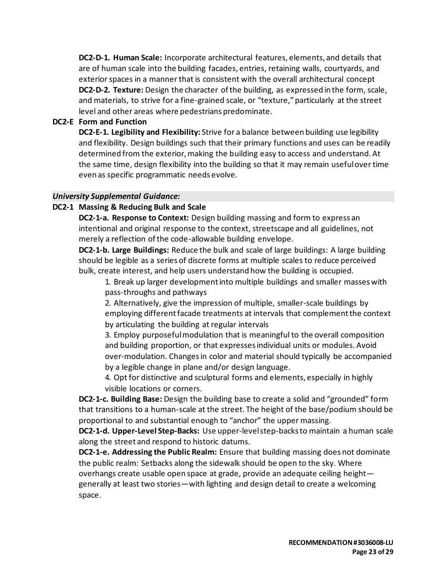**DC2-D-1. Human Scale:** Incorporate architectural features, elements, and details that are of human scale into the building facades, entries, retaining walls, courtyards, and exterior spaces in a manner that is consistent with the overall architectural concept **DC2-D-2. Texture:** Design the character of the building, as expressed in the form, scale, and materials, to strive for a fine-grained scale, or "texture," particularly at the street level and other areas where pedestrians predominate.

#### **DC2-E Form and Function**

**DC2-E-1. Legibility and Flexibility:** Strive for a balance between building use legibility and flexibility. Design buildings such that their primary functions and uses can be readily determined from the exterior, making the building easy to access and understand. At the same time, design flexibility into the building so that it may remain useful over time even as specific programmatic needs evolve.

#### *University Supplemental Guidance:*

#### **DC2-1 Massing & Reducing Bulk and Scale**

**DC2-1-a. Response to Context:** Design building massing and form to express an intentional and original response to the context, streetscape and all guidelines, not merely a reflection of the code-allowable building envelope.

**DC2-1-b. Large Buildings:** Reduce the bulk and scale of large buildings: A large building should be legible as a series of discrete forms at multiple scales to reduce perceived bulk, create interest, and help users understand how the building is occupied.

1. Break up larger development into multiple buildings and smaller masses with pass-throughs and pathways

2. Alternatively, give the impression of multiple, smaller-scale buildings by employing different facade treatments at intervals that complement the context by articulating the building at regular intervals

3. Employ purposeful modulation that is meaningful to the overall composition and building proportion, or that expresses individual units or modules. Avoid over-modulation. Changes in color and material should typically be accompanied by a legible change in plane and/or design language.

4. Opt for distinctive and sculptural forms and elements, especially in highly visible locations or corners.

**DC2-1-c. Building Base:** Design the building base to create a solid and "grounded" form that transitions to a human-scale at the street. The height of the base/podium should be proportional to and substantial enough to "anchor" the upper massing.

**DC2-1-d. Upper-Level Step-Backs:** Use upper-level step-backs to maintain a human scale along the street and respond to historic datums.

**DC2-1-e. Addressing the Public Realm:** Ensure that building massing does not dominate the public realm: Setbacks along the sidewalk should be open to the sky. Where overhangs create usable open space at grade, provide an adequate ceiling height generally at least two stories—with lighting and design detail to create a welcoming space.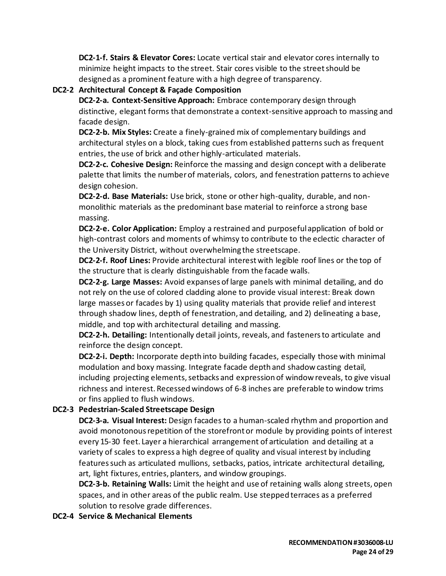**DC2-1-f. Stairs & Elevator Cores:** Locate vertical stair and elevator cores internally to minimize height impacts to the street. Stair cores visible to the street should be designed as a prominent feature with a high degree of transparency.

### **DC2-2 Architectural Concept & Façade Composition**

**DC2-2-a. Context-Sensitive Approach:** Embrace contemporary design through distinctive, elegant forms that demonstrate a context-sensitive approach to massing and facade design.

**DC2-2-b. Mix Styles:** Create a finely-grained mix of complementary buildings and architectural styles on a block, taking cues from established patterns such as frequent entries, the use of brick and other highly-articulated materials.

**DC2-2-c. Cohesive Design:** Reinforce the massing and design concept with a deliberate palette that limits the number of materials, colors, and fenestration patterns to achieve design cohesion.

**DC2-2-d. Base Materials:** Use brick, stone or other high-quality, durable, and nonmonolithic materials as the predominant base material to reinforce a strong base massing.

**DC2-2-e. Color Application:** Employ a restrained and purposeful application of bold or high-contrast colors and moments of whimsy to contribute to the eclectic character of the University District, without overwhelming the streetscape.

**DC2-2-f. Roof Lines:** Provide architectural interest with legible roof lines or the top of the structure that is clearly distinguishable from the facade walls.

**DC2-2-g. Large Masses:** Avoid expanses of large panels with minimal detailing, and do not rely on the use of colored cladding alone to provide visual interest: Break down large masses or facades by 1) using quality materials that provide relief and interest through shadow lines, depth of fenestration, and detailing, and 2) delineating a base, middle, and top with architectural detailing and massing.

**DC2-2-h. Detailing:** Intentionally detail joints, reveals, and fasteners to articulate and reinforce the design concept.

**DC2-2-i. Depth:** Incorporate depth into building facades, especially those with minimal modulation and boxy massing. Integrate facade depth and shadow casting detail, including projecting elements, setbacks and expression of window reveals, to give visual richness and interest. Recessed windows of 6-8 inches are preferable to window trims or fins applied to flush windows.

# **DC2-3 Pedestrian-Scaled Streetscape Design**

**DC2-3-a. Visual Interest:** Design facades to a human-scaled rhythm and proportion and avoid monotonous repetition of the storefront or module by providing points of interest every 15-30 feet. Layer a hierarchical arrangement of articulation and detailing at a variety of scales to express a high degree of quality and visual interest by including features such as articulated mullions, setbacks, patios, intricate architectural detailing, art, light fixtures, entries, planters, and window groupings.

**DC2-3-b. Retaining Walls:** Limit the height and use of retaining walls along streets, open spaces, and in other areas of the public realm. Use stepped terraces as a preferred solution to resolve grade differences.

**DC2-4 Service & Mechanical Elements**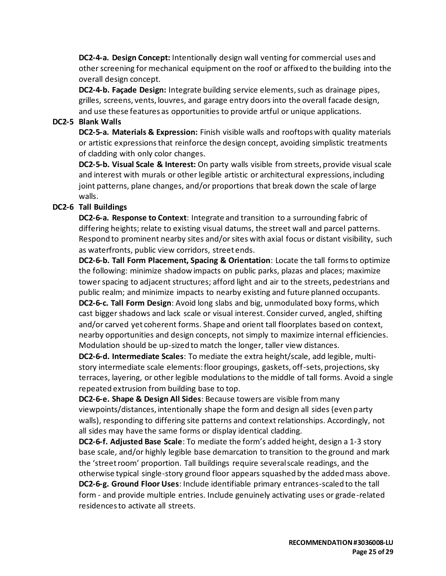**DC2-4-a. Design Concept:** Intentionally design wall venting for commercial uses and other screening for mechanical equipment on the roof or affixed to the building into the overall design concept.

**DC2-4-b. Façade Design:** Integrate building service elements, such as drainage pipes, grilles, screens, vents, louvres, and garage entry doors into the overall facade design, and use these features as opportunities to provide artful or unique applications.

#### **DC2-5 Blank Walls**

**DC2-5-a. Materials & Expression:** Finish visible walls and rooftops with quality materials or artistic expressions that reinforce the design concept, avoiding simplistic treatments of cladding with only color changes.

**DC2-5-b. Visual Scale & Interest:** On party walls visible from streets, provide visual scale and interest with murals or other legible artistic or architectural expressions, including joint patterns, plane changes, and/or proportions that break down the scale of large walls.

#### **DC2-6 Tall Buildings**

**DC2-6-a. Response to Context**: Integrate and transition to a surrounding fabric of differing heights; relate to existing visual datums, the street wall and parcel patterns. Respond to prominent nearby sites and/or sites with axial focus or distant visibility, such as waterfronts, public view corridors, street ends.

**DC2-6-b. Tall Form Placement, Spacing & Orientation**: Locate the tall forms to optimize the following: minimize shadow impacts on public parks, plazas and places; maximize tower spacing to adjacent structures; afford light and air to the streets, pedestrians and public realm; and minimize impacts to nearby existing and future planned occupants. **DC2-6-c. Tall Form Design**: Avoid long slabs and big, unmodulated boxy forms, which

cast bigger shadows and lack scale or visual interest. Consider curved, angled, shifting and/or carved yet coherent forms. Shape and orient tall floorplates based on context, nearby opportunities and design concepts, not simply to maximize internal efficiencies. Modulation should be up-sized to match the longer, taller view distances.

**DC2-6-d. Intermediate Scales**: To mediate the extra height/scale, add legible, multistory intermediate scale elements: floor groupings, gaskets, off-sets, projections, sky terraces, layering, or other legible modulations to the middle of tall forms. Avoid a single repeated extrusion from building base to top.

**DC2-6-e. Shape & Design All Sides**: Because towers are visible from many viewpoints/distances, intentionally shape the form and design all sides (even party walls), responding to differing site patterns and context relationships. Accordingly, not all sides may have the same forms or display identical cladding.

**DC2-6-f. Adjusted Base Scale**: To mediate the form's added height, design a 1-3 story base scale, and/or highly legible base demarcation to transition to the ground and mark the 'street room' proportion. Tall buildings require several scale readings, and the otherwise typical single-story ground floor appears squashed by the added mass above. **DC2-6-g. Ground Floor Uses**: Include identifiable primary entrances-scaled to the tall

form - and provide multiple entries. Include genuinely activating uses or grade-related residences to activate all streets.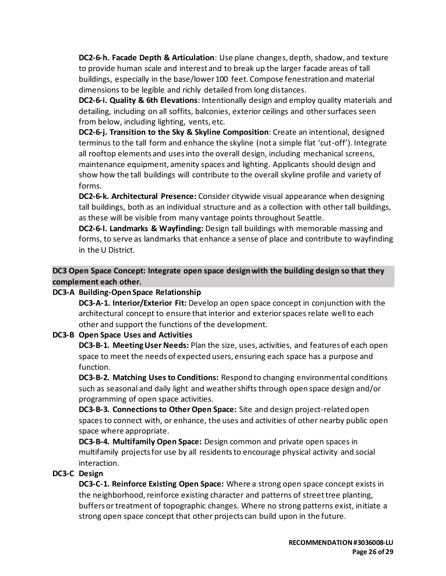**DC2-6-h. Facade Depth & Articulation**: Use plane changes, depth, shadow, and texture to provide human scale and interest and to break up the larger facade areas of tall buildings, especially in the base/lower 100 feet. Compose fenestration and material dimensions to be legible and richly detailed from long distances.

**DC2-6-i. Quality & 6th Elevations**: Intentionally design and employ quality materials and detailing, including on all soffits, balconies, exterior ceilings and other surfaces seen from below, including lighting, vents, etc.

**DC2-6-j. Transition to the Sky & Skyline Composition**: Create an intentional, designed terminus to the tall form and enhance the skyline (not a simple flat 'cut-off'). Integrate all rooftop elements and uses into the overall design, including mechanical screens, maintenance equipment, amenity spaces and lighting. Applicants should design and show how the tall buildings will contribute to the overall skyline profile and variety of forms.

**DC2-6-k. Architectural Presence:** Consider citywide visual appearance when designing tall buildings, both as an individual structure and as a collection with other tall buildings, as these will be visible from many vantage points throughout Seattle.

**DC2-6-l. Landmarks & Wayfinding:** Design tall buildings with memorable massing and forms, to serve as landmarks that enhance a sense of place and contribute to wayfinding in the U District.

**DC3 Open Space Concept: Integrate open space design with the building design so that they complement each other.**

### **DC3-A Building-Open Space Relationship**

**DC3-A-1. Interior/Exterior Fit:** Develop an open space concept in conjunction with the architectural concept to ensure that interior and exterior spaces relate well to each other and support the functions of the development.

# **DC3-B Open Space Uses and Activities**

**DC3-B-1. Meeting User Needs:** Plan the size, uses, activities, and features of each open space to meet the needs of expected users, ensuring each space has a purpose and function.

**DC3-B-2. Matching Uses to Conditions:** Respond to changing environmental conditions such as seasonal and daily light and weather shifts through open space design and/or programming of open space activities.

**DC3-B-3. Connections to Other Open Space:** Site and design project-related open spaces to connect with, or enhance, the uses and activities of other nearby public open space where appropriate.

**DC3-B-4. Multifamily Open Space:** Design common and private open spaces in multifamily projects for use by all residents to encourage physical activity and social interaction.

### **DC3-C Design**

**DC3-C-1. Reinforce Existing Open Space:** Where a strong open space concept exists in the neighborhood, reinforce existing character and patterns of street tree planting, buffers or treatment of topographic changes. Where no strong patterns exist, initiate a strong open space concept that other projects can build upon in the future.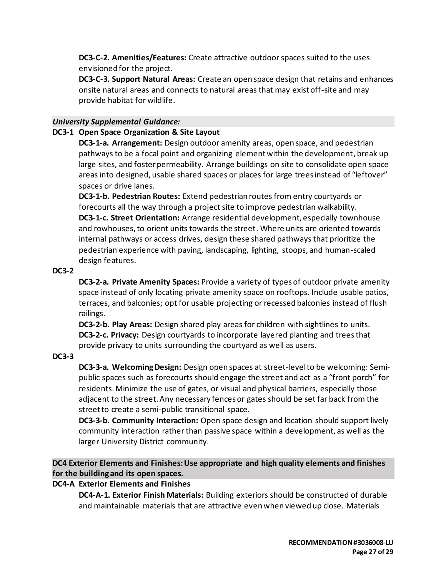**DC3-C-2. Amenities/Features:** Create attractive outdoor spaces suited to the uses envisioned for the project.

**DC3-C-3. Support Natural Areas:** Create an open space design that retains and enhances onsite natural areas and connects to natural areas that may exist off-site and may provide habitat for wildlife.

### *University Supplemental Guidance:*

#### **DC3-1 Open Space Organization & Site Layout**

**DC3-1-a. Arrangement:** Design outdoor amenity areas, open space, and pedestrian pathways to be a focal point and organizing element within the development, break up large sites, and foster permeability. Arrange buildings on site to consolidate open space areas into designed, usable shared spaces or places for large trees instead of "leftover" spaces or drive lanes.

**DC3-1-b. Pedestrian Routes:** Extend pedestrian routes from entry courtyards or forecourts all the way through a project site to improve pedestrian walkability.

**DC3-1-c. Street Orientation:** Arrange residential development, especially townhouse and rowhouses, to orient units towards the street. Where units are oriented towards internal pathways or access drives, design these shared pathways that prioritize the pedestrian experience with paving, landscaping, lighting, stoops, and human-scaled design features.

#### **DC3-2**

**DC3-2-a. Private Amenity Spaces:** Provide a variety of types of outdoor private amenity space instead of only locating private amenity space on rooftops. Include usable patios, terraces, and balconies; opt for usable projecting or recessed balconies instead of flush railings.

**DC3-2-b. Play Areas:** Design shared play areas for children with sightlines to units. **DC3-2-c. Privacy:** Design courtyards to incorporate layered planting and trees that provide privacy to units surrounding the courtyard as well as users.

#### **DC3-3**

**DC3-3-a. Welcoming Design:** Design open spaces at street-level to be welcoming: Semipublic spaces such as forecourts should engage the street and act as a "front porch" for residents. Minimize the use of gates, or visual and physical barriers, especially those adjacent to the street. Any necessary fences or gates should be set far back from the street to create a semi-public transitional space.

**DC3-3-b. Community Interaction:** Open space design and location should support lively community interaction rather than passive space within a development, as well as the larger University District community.

**DC4 Exterior Elements and Finishes: Use appropriate and high quality elements and finishes for the building and its open spaces.**

### **DC4-A Exterior Elements and Finishes**

**DC4-A-1. Exterior Finish Materials:** Building exteriors should be constructed of durable and maintainable materials that are attractive even when viewed up close. Materials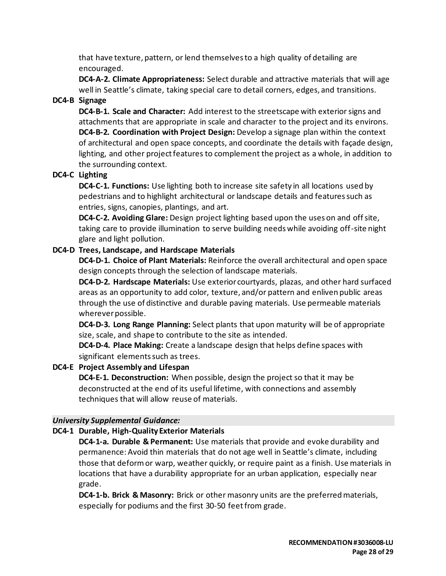that have texture, pattern, or lend themselves to a high quality of detailing are encouraged.

**DC4-A-2. Climate Appropriateness:** Select durable and attractive materials that will age well in Seattle's climate, taking special care to detail corners, edges, and transitions.

# **DC4-B Signage**

**DC4-B-1. Scale and Character:** Add interest to the streetscape with exterior signs and attachments that are appropriate in scale and character to the project and its environs. **DC4-B-2. Coordination with Project Design:** Develop a signage plan within the context of architectural and open space concepts, and coordinate the details with façade design, lighting, and other project features to complement the project as a whole, in addition to the surrounding context.

# **DC4-C Lighting**

**DC4-C-1. Functions:** Use lighting both to increase site safety in all locations used by pedestrians and to highlight architectural or landscape details and features such as entries, signs, canopies, plantings, and art.

**DC4-C-2. Avoiding Glare:** Design project lighting based upon the uses on and off site, taking care to provide illumination to serve building needs while avoiding off-site night glare and light pollution.

### **DC4-D Trees, Landscape, and Hardscape Materials**

**DC4-D-1. Choice of Plant Materials:** Reinforce the overall architectural and open space design concepts through the selection of landscape materials.

**DC4-D-2. Hardscape Materials:** Use exterior courtyards, plazas, and other hard surfaced areas as an opportunity to add color, texture, and/or pattern and enliven public areas through the use of distinctive and durable paving materials. Use permeable materials wherever possible.

**DC4-D-3. Long Range Planning:** Select plants that upon maturity will be of appropriate size, scale, and shape to contribute to the site as intended.

**DC4-D-4. Place Making:** Create a landscape design that helps define spaces with significant elements such as trees.

# **DC4-E Project Assembly and Lifespan**

**DC4-E-1. Deconstruction:** When possible, design the project so that it may be deconstructed at the end of its useful lifetime, with connections and assembly techniques that will allow reuse of materials.

### *University Supplemental Guidance:*

# **DC4-1 Durable, High-Quality Exterior Materials**

**DC4-1-a. Durable & Permanent:** Use materials that provide and evoke durability and permanence: Avoid thin materials that do not age well in Seattle's climate, including those that deform or warp, weather quickly, or require paint as a finish. Use materials in locations that have a durability appropriate for an urban application, especially near grade.

**DC4-1-b. Brick & Masonry:** Brick or other masonry units are the preferred materials, especially for podiums and the first 30-50 feet from grade.